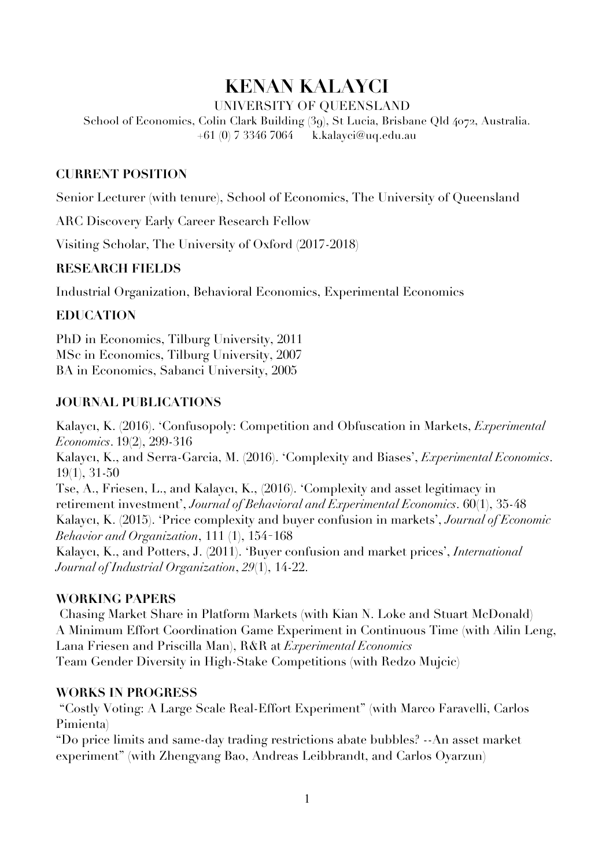# **KENAN KALAYCI**

UNIVERSITY OF QUEENSLAND

School of Economics, Colin Clark Building (39), St Lucia, Brisbane Qld 4072, Australia. +61 (0) 7 3346 7064 k.kalayci@uq.edu.au

# **CURRENT POSITION**

Senior Lecturer (with tenure), School of Economics, The University of Queensland

ARC Discovery Early Career Research Fellow

Visiting Scholar, The University of Oxford (2017-2018)

## **RESEARCH FIELDS**

Industrial Organization, Behavioral Economics, Experimental Economics

## **EDUCATION**

PhD in Economics, Tilburg University, 2011 MSc in Economics, Tilburg University, 2007 BA in Economics, Sabanci University, 2005

## **JOURNAL PUBLICATIONS**

Kalaycı, K. (2016). 'Confusopoly: Competition and Obfuscation in Markets, *Experimental Economics*. 19(2), 299-316 Kalaycı, K., and Serra-Garcia, M. (2016). 'Complexity and Biases', *Experimental Economics*. 19(1), 31-50 Tse, A., Friesen, L., and Kalaycı, K., (2016). 'Complexity and asset legitimacy in retirement investment', *Journal of Behavioral and Experimental Economics*. 60(1), 35-48 Kalaycı, K. (2015). 'Price complexity and buyer confusion in markets', *Journal of Economic Behavior and Organization*, 111 (1), 154–168 Kalaycı, K., and Potters, J. (2011). 'Buyer confusion and market prices', *International Journal of Industrial Organization*, *29*(1), 14-22.

#### **WORKING PAPERS**

Chasing Market Share in Platform Markets (with Kian N. Loke and Stuart McDonald) A Minimum Effort Coordination Game Experiment in Continuous Time (with Ailin Leng, Lana Friesen and Priscilla Man), R&R at *Experimental Economics* Team Gender Diversity in High-Stake Competitions (with Redzo Mujcic)

## **WORKS IN PROGRESS**

"Costly Voting: A Large Scale Real-Effort Experiment" (with Marco Faravelli, Carlos Pimienta)

"Do price limits and same-day trading restrictions abate bubbles? --An asset market experiment" (with Zhengyang Bao, Andreas Leibbrandt, and Carlos Oyarzun)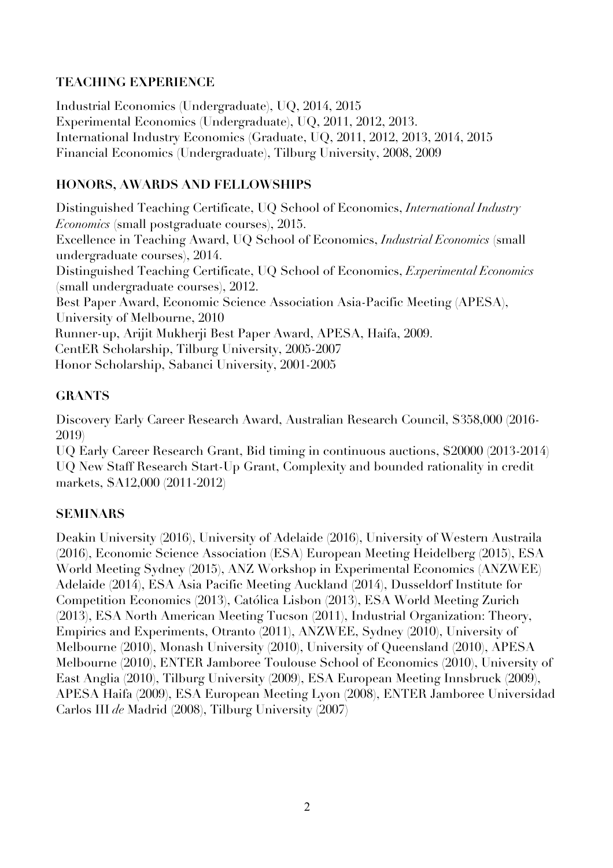# **TEACHING EXPERIENCE**

Industrial Economics (Undergraduate), UQ, 2014, 2015 Experimental Economics (Undergraduate), UQ, 2011, 2012, 2013. International Industry Economics (Graduate, UQ, 2011, 2012, 2013, 2014, 2015 Financial Economics (Undergraduate), Tilburg University, 2008, 2009

# **HONORS, AWARDS AND FELLOWSHIPS**

Distinguished Teaching Certificate, UQ School of Economics, *International Industry Economics* (small postgraduate courses), 2015. Excellence in Teaching Award, UQ School of Economics, *Industrial Economics* (small undergraduate courses), 2014. Distinguished Teaching Certificate, UQ School of Economics, *Experimental Economics* (small undergraduate courses), 2012. Best Paper Award, Economic Science Association Asia-Pacific Meeting (APESA), University of Melbourne, 2010 Runner-up, Arijit Mukherji Best Paper Award, APESA, Haifa, 2009. CentER Scholarship, Tilburg University, 2005-2007 Honor Scholarship, Sabanci University, 2001-2005

# **GRANTS**

Discovery Early Career Research Award, Australian Research Council, \$358,000 (2016- 2019)

UQ Early Career Research Grant, Bid timing in continuous auctions, \$20000 (2013-2014) UQ New Staff Research Start-Up Grant, Complexity and bounded rationality in credit markets, \$A12,000 (2011-2012)

# **SEMINARS**

Deakin University (2016), University of Adelaide (2016), University of Western Austraila (2016), Economic Science Association (ESA) European Meeting Heidelberg (2015), ESA World Meeting Sydney (2015), ANZ Workshop in Experimental Economics (ANZWEE) Adelaide (2014), ESA Asia Pacific Meeting Auckland (2014), Dusseldorf Institute for Competition Economics (2013), Católica Lisbon (2013), ESA World Meeting Zurich (2013), ESA North American Meeting Tucson (2011), Industrial Organization: Theory, Empirics and Experiments, Otranto (2011), ANZWEE, Sydney (2010), University of Melbourne (2010), Monash University (2010), University of Queensland (2010), APESA Melbourne (2010), ENTER Jamboree Toulouse School of Economics (2010), University of East Anglia (2010), Tilburg University (2009), ESA European Meeting Innsbruck (2009), APESA Haifa (2009), ESA European Meeting Lyon (2008), ENTER Jamboree Universidad Carlos III *de* Madrid (2008), Tilburg University (2007)